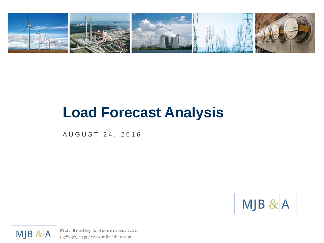

# **Load Forecast Analysis**

A U G U S T 2 4 , 2 0 1 6



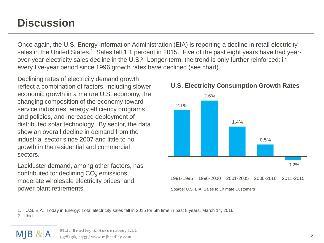## **Discussion**

Once again, the U.S. Energy Information Administration (EIA) is reporting a decline in retail electricity sales in the United States.<sup>1</sup> Sales fell 1.1 percent in 2015. Five of the past eight years have had yearover-year electricity sales decline in the U.S.<sup>2</sup> Longer-term, the trend is only further reinforced: in every five-year period since 1996 growth rates have declined (see chart).

service industries, energy efficiency programs<br>
and policies, and increased deployment of<br>
distributed solar technology. By sector, the data<br>
show an overall decline in demand from the<br>
industrial sector since 2007 and lit Declining rates of electricity demand growth reflect a combination of factors, including slower economic growth in a mature U.S. economy, the changing composition of the economy toward service industries, energy efficiency programs and policies, and increased deployment of distributed solar technology. By sector, the data show an overall decline in demand from the industrial sector since 2007 and little to no growth in the residential and commercial sectors.

Lackluster demand, among other factors, has contributed to: declining  $CO<sub>2</sub>$  emissions, moderate wholesale electricity prices, and power plant retirements.



**U.S. Electricity Consumption Growth Rates**

*Source*: U.S. EIA, Sales to Ultimate Customers

1. U.S. EIA. Today in Energy: Total electricity sales fell in 2015 for 5th time in past 8 years. March 14, 2016.

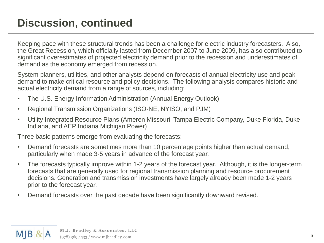# **Discussion, continued**

Keeping pace with these structural trends has been a challenge for electric industry forecasters. Also, the Great Recession, which officially lasted from December 2007 to June 2009, has also contributed to significant overestimates of projected electricity demand prior to the recession and underestimates of demand as the economy emerged from recession.

System planners, utilities, and other analysts depend on forecasts of annual electricity use and peak demand to make critical resource and policy decisions. The following analysis compares historic and actual electricity demand from a range of sources, including:

- The U.S. Energy Information Administration (Annual Energy Outlook)
- Regional Transmission Organizations (ISO-NE, NYISO, and PJM)
- Utility Integrated Resource Plans (Ameren Missouri, Tampa Electric Company, Duke Florida, Duke Indiana, and AEP Indiana Michigan Power)

Three basic patterns emerge from evaluating the forecasts:

- Demand forecasts are sometimes more than 10 percentage points higher than actual demand, particularly when made 3-5 years in advance of the forecast year.
- The forecasts typically improve within 1-2 years of the forecast year. Although, it is the longer-term forecasts that are generally used for regional transmission planning and resource procurement decisions. Generation and transmission investments have largely already been made 1-2 years prior to the forecast year.
- Demand forecasts over the past decade have been significantly downward revised.

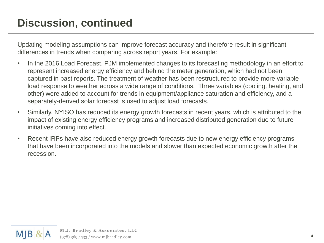# **Discussion, continued**

Updating modeling assumptions can improve forecast accuracy and therefore result in significant differences in trends when comparing across report years. For example:

- In the 2016 Load Forecast, PJM implemented changes to its forecasting methodology in an effort to represent increased energy efficiency and behind the meter generation, which had not been captured in past reports. The treatment of weather has been restructured to provide more variable load response to weather across a wide range of conditions. Three variables (cooling, heating, and other) were added to account for trends in equipment/appliance saturation and efficiency, and a separately-derived solar forecast is used to adjust load forecasts.
- Similarly, NYISO has reduced its energy growth forecasts in recent years, which is attributed to the impact of existing energy efficiency programs and increased distributed generation due to future initiatives coming into effect.
- Recent IRPs have also reduced energy growth forecasts due to new energy efficiency programs that have been incorporated into the models and slower than expected economic growth after the recession.

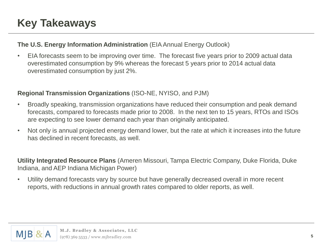# **Key Takeaways**

#### **The U.S. Energy Information Administration** (EIA Annual Energy Outlook)

• EIA forecasts seem to be improving over time. The forecast five years prior to 2009 actual data overestimated consumption by 9% whereas the forecast 5 years prior to 2014 actual data overestimated consumption by just 2%.

#### **Regional Transmission Organizations** (ISO-NE, NYISO, and PJM)

- Broadly speaking, transmission organizations have reduced their consumption and peak demand forecasts, compared to forecasts made prior to 2008. In the next ten to 15 years, RTOs and ISOs are expecting to see lower demand each year than originally anticipated.
- Not only is annual projected energy demand lower, but the rate at which it increases into the future has declined in recent forecasts, as well.

**Utility Integrated Resource Plans** (Ameren Missouri, Tampa Electric Company, Duke Florida, Duke Indiana, and AEP Indiana Michigan Power)

• Utility demand forecasts vary by source but have generally decreased overall in more recent reports, with reductions in annual growth rates compared to older reports, as well.

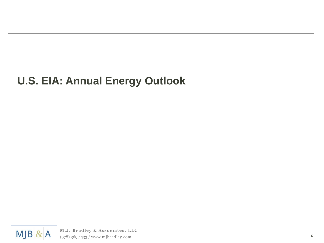# **U.S. EIA: Annual Energy Outlook**

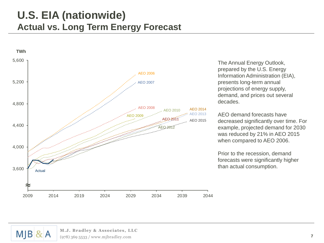#### **U.S. EIA (nationwide) Actual vs. Long Term Energy Forecast**



The Annual Energy Outlook, prepared by the U.S. Energy Information Administration (EIA), presents long-term annual projections of energy supply, demand, and prices out several decades.

AEO demand forecasts have decreased significantly over time. For example, projected demand for 2030 was reduced by 21% in AEO 2015 when compared to AEO 2006.

Prior to the recession, demand forecasts were significantly higher than actual consumption.

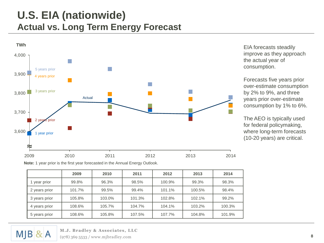### **U.S. EIA (nationwide) Actual vs. Long Term Energy Forecast**



EIA forecasts steadily improve as they approach the actual year of consumption.

Forecasts five years prior over-estimate consumption by 2% to 9%, and three years prior over-estimate consumption by 1% to 6%.

The AEO is typically used for federal policymaking, where long-term forecasts (10-20 years) are critical.

**Note:** 1 year prior is the first year forecasted in the Annual Energy Outlook.

|               | 2009   | 2010   | 2011   | 2012   | 2013   | 2014   |
|---------------|--------|--------|--------|--------|--------|--------|
| year prior    | 99.8%  | 96.3%  | 98.5%  | 100.9% | 99.3%  | 98.3%  |
| 2 years prior | 101.7% | 99.5%  | 99.4%  | 101.1% | 100.5% | 98.4%  |
| 3 years prior | 105.8% | 103.0% | 101.3% | 102.8% | 102.1% | 99.2%  |
| 4 years prior | 108.6% | 105.7% | 104.7% | 104.1% | 103.2% | 100.3% |
| 5 years prior | 108.6% | 105.8% | 107.5% | 107.7% | 104.8% | 101.9% |

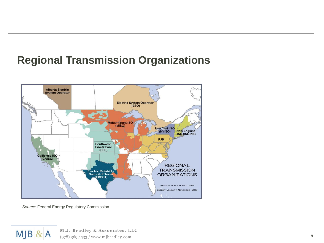# **Regional Transmission Organizations**



*Source*: Federal Energy Regulatory Commission

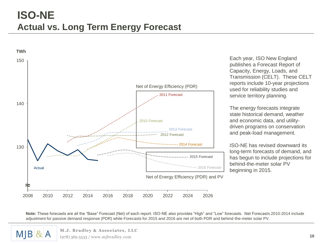

Each year, ISO New England publishes a Forecast Report of Capacity, Energy, Loads, and Transmission (CELT). These CELT reports include 10-year projections used for reliability studies and service territory planning.

The energy forecasts integrate state historical demand, weather and economic data, and utilitydriven programs on conservation and peak-load management.

ISO-NE has revised downward its long-term forecasts of demand, and has begun to include projections for behind-the-meter solar PV beginning in 2015.

**Note:** These forecasts are all the "Base" Forecast (Net) of each report. ISO-NE also provides "High" and "Low" forecasts. Net Forecasts 2010-2014 include adjustment for passive demand response (PDR) while Forecasts for 2015 and 2016 are net of both PDR and behind-the-meter solar PV.

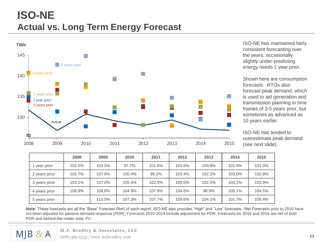### **ISO-NE Actual vs. Long Term Energy Forecast**



ISO-NE has maintained fairly consistent forecasting over the years, occasionally slightly under-predicting energy needs 1 year prior.

Shown here are consumption forecasts. RTOs also forecast peak demand, which is used to aid generation and transmission planning in time frames of 3-5 years prior, but sometimes as advanced as 10 years earlier.

ISO-NE has tended to overestimate peak demand (see next slide).

|               | 2008   | 2009   | 2010   | 2011   | 2012   | 2013   | 2014   | 2015   |
|---------------|--------|--------|--------|--------|--------|--------|--------|--------|
| year prior    | 102.5% | 103.5% | 97.7%  | 101.6% | 103.6% | 100.8% | 101.9% | 101.0% |
| 2 years prior | 101.7% | 107.6% | 100.4% | 99.2%  | 103.4% | 102.2% | 103.0% | 102.8% |
| 3 years prior | 103.1% | 107.0% | 105.4% | 102.5% | 100.0% | 102.5% | 104.2% | 103.9% |
| 4 years prior | 106.8% | 108.8% | 104.9% | 107.8% | 104.6% | 98.9%  | 105.1% | 104.5% |
| 5 years prior |        | 112.5% | 107.3% | 107.7% | 109.6% | 104.1% | 101.7% | 106.4% |

**Note:** These forecasts are all the "Base" Forecast (Net) of each report. ISO-NE also provides "High" and "Low" forecasts. Net Forecasts prior to 2010 have not been adjusted for passive demand response (PDR); Forecasts 2010-2014 include adjustment for PDR; Forecasts for 2015 and 2016 are net of both PDR and behind-the-meter solar PV.

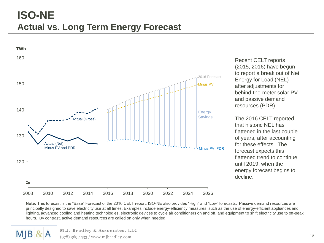### **ISO-NE Actual vs. Long Term Energy Forecast**



Recent CELT reports (2015, 2016) have begun to report a break out of Net Energy for Load (NEL) after adjustments for behind-the-meter solar PV and passive demand resources (PDR).

The 2016 CELT reported that historic NEL has flattened in the last couple of years, after accounting for these effects. The forecast expects this flattened trend to continue until 2019, when the energy forecast begins to decline.

**Note:** This forecast is the "Base" Forecast of the 2016 CELT report. ISO-NE also provides "High" and "Low" forecasts. Passive demand resources are principally designed to save electricity use at all times. Examples include energy-efficiency measures, such as the use of energy-efficient appliances and lighting, advanced cooling and heating technologies, electronic devices to cycle air conditioners on and off, and equipment to shift electricity use to off-peak hours. By contrast, active demand resources are called on only when needed.

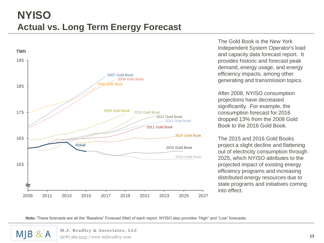

The Gold Book is the New York Independent System Operator's load and capacity data forecast report. It provides historic and forecast peak demand, energy usage, and energy efficiency impacts, among other generating and transmission topics.

After 2008, NYISO consumption projections have decreased significantly. For example, the consumption forecast for 2016 dropped 13% from the 2008 Gold Book to the 2016 Gold Book.

The 2015 and 2016 Gold Books project a slight decline and flattening out of electricity consumption through 2025, which NYISO attributes to the projected impact of existing energy efficiency programs and increasing distributed energy resources due to state programs and initiatives coming into effect.

**Note:** These forecasts are all the "Baseline" Forecast (Net) of each report. NYISO also provides "High" and "Low" forecasts.

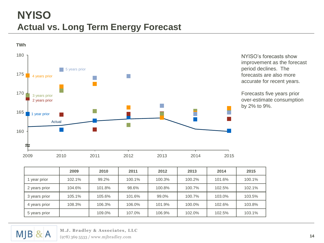### **NYISO Actual vs. Long Term Energy Forecast**



NYISO's forecasts show improvement as the forecast period declines. The forecasts are also more accurate for recent years.

Forecasts five years prior over-estimate consumption by 2% to 9%.

|               | 2009   | 2010   | 2011   | 2012   | 2013   | 2014   | 2015   |
|---------------|--------|--------|--------|--------|--------|--------|--------|
| year prior    | 102.1% | 99.2%  | 100.1% | 100.3% | 100.2% | 101.6% | 100.1% |
| 2 years prior | 104.6% | 101.8% | 98.6%  | 100.8% | 100.7% | 102.5% | 102.1% |
| 3 years prior | 105.1% | 105.6% | 101.6% | 99.0%  | 100.7% | 103.0% | 103.5% |
| 4 years prior | 108.3% | 106.3% | 106.0% | 101.9% | 100.0% | 102.6% | 103.8% |
| 5 years prior |        | 109.0% | 107.0% | 106.9% | 102.0% | 102.5% | 103.1% |

 $MJB$  & A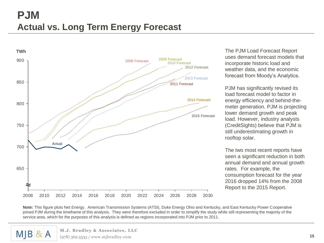#### **PJM Actual vs. Long Term Energy Forecast**



The PJM Load Forecast Report uses demand forecast models that incorporate historic load and weather data, and the economic forecast from Moody's Analytics.

PJM has significantly revised its load forecast model to factor in energy efficiency and behind-themeter generation. PJM is projecting lower demand growth and peak load. However, industry analysts (CreditSights) believe that PJM is still underestimating growth in rooftop solar.

The two most recent reports have seen a significant reduction in both annual demand and annual growth rates. For example, the consumption forecast for the year 2016 dropped 14% from the 2008 Report to the 2015 Report.

**Note:** This figure plots Net Energy. American Transmission Systems (ATSI), Duke Energy Ohio and Kentucky, and East Kentucky Power Cooperative joined PJM during the timeframe of this analysis. They were therefore excluded in order to simplify the study while still representing the majority of the service area, which for the purposes of this analysis is defined as regions incorporated into PJM prior to 2011.

# $M$  $B$  &  $A$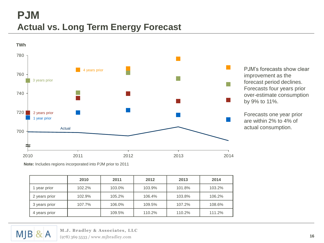#### **PJM Actual vs. Long Term Energy Forecast**



PJM's forecasts show clear improvement as the forecast period declines. Forecasts four years prior over-estimate consumption by 9% to 11%.

Forecasts one year prior are within 2% to 4% of actual consumption.

**Note:** Includes regions incorporated into PJM prior to 2011

|               | 2010   | 2011   | 2012   | 2013   | 2014   |
|---------------|--------|--------|--------|--------|--------|
| 1 year prior  | 102.2% | 103.0% | 103.9% | 101.8% | 103.2% |
| 2 years prior | 102.9% | 105.2% | 106.4% | 103.8% | 106.2% |
| 3 years prior | 107.7% | 106.0% | 109.5% | 107.2% | 108.6% |
| 4 years prior |        | 109.5% | 110.2% | 110.2% | 111.2% |

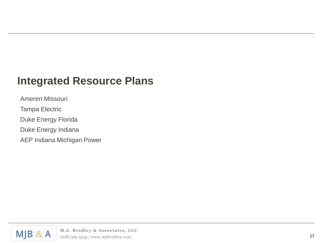#### **Integrated Resource Plans**

Ameren Missouri Tampa Electric Duke Energy Florida Duke Energy Indiana AEP Indiana Michigan Power

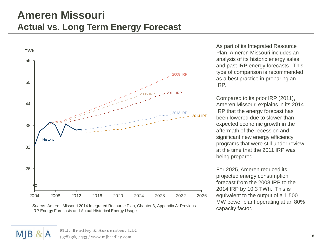#### **Ameren Missouri Actual vs. Long Term Energy Forecast**



As part of its Integrated Resource Plan, Ameren Missouri includes an analysis of its historic energy sales and past IRP energy forecasts. This type of comparison is recommended as a best practice in preparing an IRP.

Compared to its prior IRP (2011), Ameren Missouri explains in its 2014 IRP that the energy forecast has been lowered due to slower than expected economic growth in the aftermath of the recession and significant new energy efficiency programs that were still under review at the time that the 2011 IRP was being prepared.

For 2025, Ameren reduced its projected energy consumption forecast from the 2008 IRP to the 2014 IRP by 10.3 TWh. This is equivalent to the output of a 1,500 MW power plant operating at an 80% capacity factor.

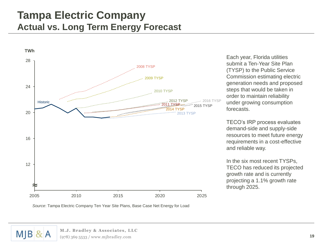#### **Tampa Electric Company Actual vs. Long Term Energy Forecast**



Each year, Florida utilities submit a Ten-Year Site Plan (TYSP) to the Public Service Commission estimating electric generation needs and proposed steps that would be taken in order to maintain reliability under growing consumption forecasts.

TECO's IRP process evaluates demand-side and supply-side resources to meet future energy requirements in a cost-effective and reliable way.

In the six most recent TYSPs, TECO has reduced its projected growth rate and is currently projecting a 1.1% growth rate through 2025.



*Source*: Tampa Electric Company Ten Year Site Plans, Base Case Net Energy for Load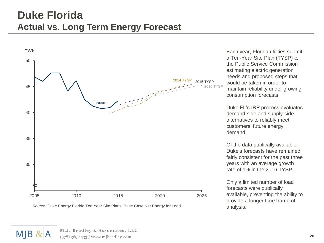#### **Duke Florida Actual vs. Long Term Energy Forecast**



*Source*: Duke Energy Florida Ten Year Site Plans, Base Case Net Energy for Load

Each year, Florida utilities submit a Ten-Year Site Plan (TYSP) to the Public Service Commission estimating electric generation needs and proposed steps that would be taken in order to maintain reliability under growing consumption forecasts.

Duke FL's IRP process evaluates demand-side and supply-side alternatives to reliably meet customers' future energy demand.

Of the data publically available, Duke's forecasts have remained fairly consistent for the past three years with an average growth rate of 1% in the 2016 TYSP.

Only a limited number of load forecasts were publically available, preventing the ability to provide a longer time frame of analysis.

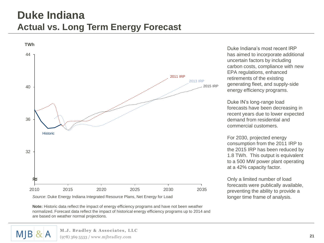#### **Duke Indiana Actual vs. Long Term Energy Forecast**



Duke Indiana's most recent IRP has aimed to incorporate additional uncertain factors by including carbon costs, compliance with new EPA regulations, enhanced retirements of the existing generating fleet, and supply-side energy efficiency programs.

Duke IN's long-range load forecasts have been decreasing in recent years due to lower expected demand from residential and commercial customers.

For 2030, projected energy consumption from the 2011 IRP to the 2015 IRP has been reduced by 1.8 TWh. This output is equivalent to a 500 MW power plant operating at a 42% capacity factor.

Only a limited number of load forecasts were publically available, preventing the ability to provide a longer time frame of analysis.

*Source*: Duke Energy Indiana Integrated Resource Plans, Net Energy for Load

**Note:** Historic data reflect the impact of energy efficiency programs and have not been weather normalized. Forecast data reflect the impact of historical energy efficiency programs up to 2014 and are based on weather normal projections.

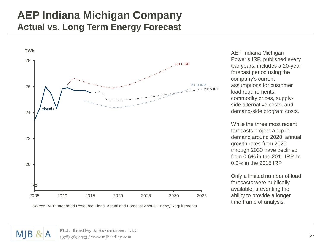#### **AEP Indiana Michigan Company Actual vs. Long Term Energy Forecast**



AEP Indiana Michigan Power's IRP, published every two years, includes a 20-year forecast period using the company's current assumptions for customer load requirements, commodity prices, supplyside alternative costs, and demand-side program costs.

While the three most recent forecasts project a dip in demand around 2020, annual growth rates from 2020 through 2030 have declined from 0.6% in the 2011 IRP, to 0.2% in the 2015 IRP.

Only a limited number of load forecasts were publically available, preventing the ability to provide a longer time frame of analysis.

*Source*: AEP Integrated Resource Plans, Actual and Forecast Annual Energy Requirements